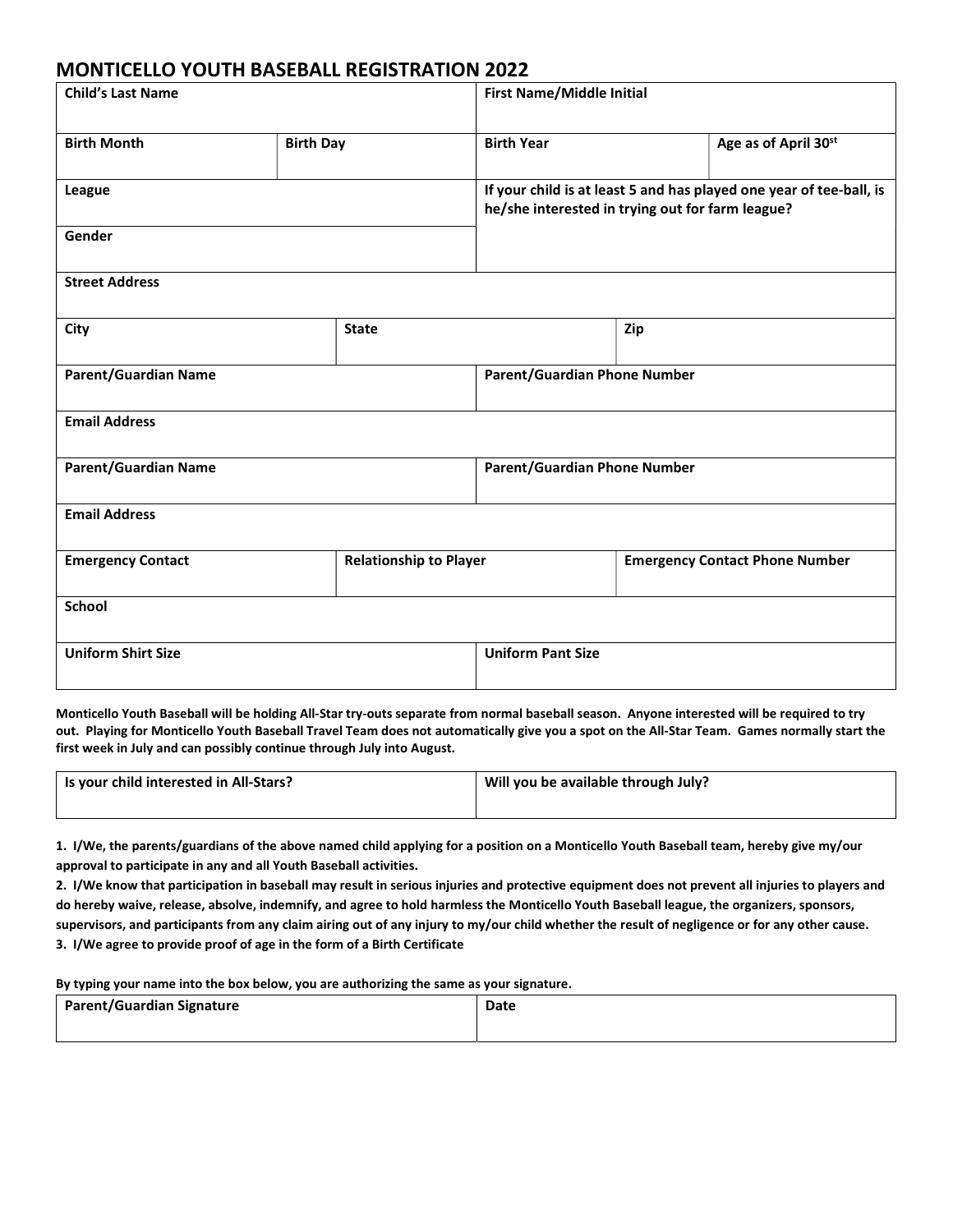## MONTICELLO YOUTH BASEBALL REGISTRATION 2022

| <b>Child's Last Name</b>    |                  | <b>First Name/Middle Initial</b>                                                                                        |                   |     |                                       |
|-----------------------------|------------------|-------------------------------------------------------------------------------------------------------------------------|-------------------|-----|---------------------------------------|
| <b>Birth Month</b>          | <b>Birth Day</b> |                                                                                                                         | <b>Birth Year</b> |     | Age as of April 30st                  |
| League                      |                  | If your child is at least 5 and has played one year of tee-ball, is<br>he/she interested in trying out for farm league? |                   |     |                                       |
| Gender                      |                  |                                                                                                                         |                   |     |                                       |
| <b>Street Address</b>       |                  |                                                                                                                         |                   |     |                                       |
| City                        | <b>State</b>     |                                                                                                                         |                   | Zip |                                       |
| <b>Parent/Guardian Name</b> |                  | <b>Parent/Guardian Phone Number</b>                                                                                     |                   |     |                                       |
| <b>Email Address</b>        |                  |                                                                                                                         |                   |     |                                       |
| <b>Parent/Guardian Name</b> |                  | <b>Parent/Guardian Phone Number</b>                                                                                     |                   |     |                                       |
| <b>Email Address</b>        |                  |                                                                                                                         |                   |     |                                       |
| <b>Emergency Contact</b>    |                  | <b>Relationship to Player</b>                                                                                           |                   |     | <b>Emergency Contact Phone Number</b> |
| <b>School</b>               |                  |                                                                                                                         |                   |     |                                       |
| <b>Uniform Shirt Size</b>   |                  | <b>Uniform Pant Size</b>                                                                                                |                   |     |                                       |

Monticello Youth Baseball will be holding All-Star try-outs separate from normal baseball season. Anyone interested will be required to try out. Playing for Monticello Youth Baseball Travel Team does not automatically give you a spot on the All-Star Team. Games normally start the first week in July and can possibly continue through July into August.

| Is your child interested in All-Stars? | Will you be available through July? |
|----------------------------------------|-------------------------------------|
|                                        |                                     |

1. I/We, the parents/guardians of the above named child applying for a position on a Monticello Youth Baseball team, hereby give my/our approval to participate in any and all Youth Baseball activities.

2. I/We know that participation in baseball may result in serious injuries and protective equipment does not prevent all injuries to players and do hereby waive, release, absolve, indemnify, and agree to hold harmless the Monticello Youth Baseball league, the organizers, sponsors, supervisors, and participants from any claim airing out of any injury to my/our child whether the result of negligence or for any other cause. 3. I/We agree to provide proof of age in the form of a Birth Certificate

By typing your name into the box below, you are authorizing the same as your signature.

| <b>Parent/Guardian Signature</b> | Date |
|----------------------------------|------|
|                                  |      |